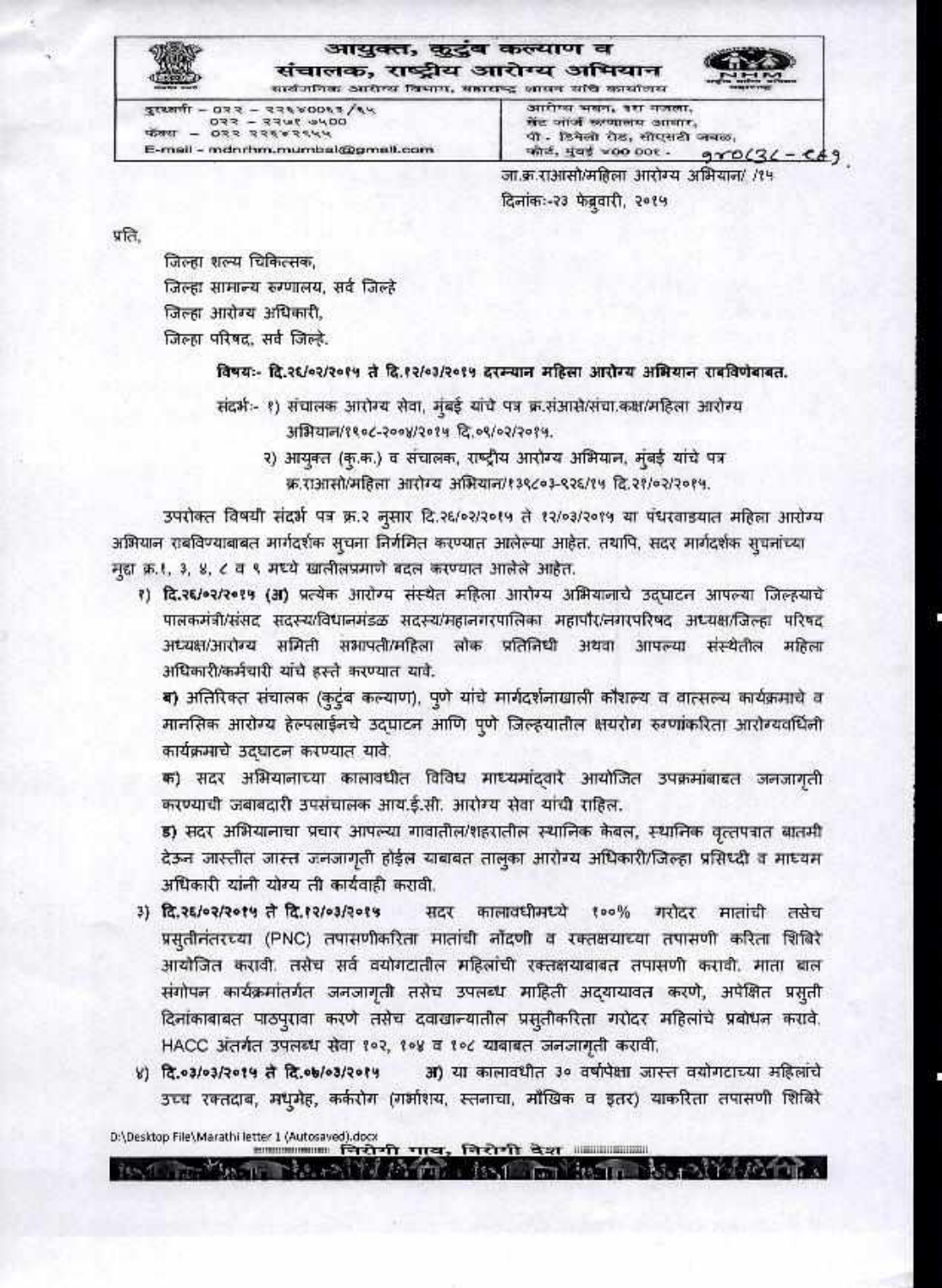आयुक्त, कुटुंब कल्याण व संचालक, राष्ट्रीय आरोग्य अभियान

सार्वजनिका आरोपय विभाग, सहाराष्ट्र आसन संदि कार्यालय

 $37887 - 673 - 87680063$ /sk  $-055$  334 5444 E-mail - mdnrhm.mumbal@gmail.com

आरोप्य भवन, दश मजला, मेंट जार्ज छत्यालय आवार, पी - डिनेलो रोड, सोएसटी जबळ, कोर्ट, मुंबई woo bot - $970(36 - 669)$ 

जा.क्र.राआसो/महिला आरोग्य अभियान/ /१५ दिनांक:-२३ फेब्रुवारी, २०१५

प्रति.

जिल्हा शल्य चिकित्सक, जिल्हा सामान्य रुग्णालय, सर्व जिल्हे जिल्हा आरोग्य अधिकारी. जिल्हा परिषद, सर्व जिल्हे.

विषयः- दि.२६/०२/२०१५ ते दि.१२/०३/२०१५ दरम्यान महिला आरोग्य अभियान राबविणेबाबत.

संदर्भः- १) संचालक आरोग्य सेवा, मुंबई यांचे पत्र क्र.संआसे/संचा.कक्ष/महिला आरोग्य अभियान/१९०८-२००४/२०१५ दि.०९/०२/२०१५.

२) आयुक्त (कृ.क.) व संचालक, राष्ट्रीय आरोग्य अभियान, मुंबई यांचे पत्र क्र.राआसो/महिला आरोग्य अभियान/१३९८०३-९२६/१५ दि.२१/०२/२०१५.

उपरोक्त विषयी संदर्भ पत्र क्र.२ नुसार दि.२६/०२/२०१५ ते १२/०३/२०१५ या पंधरवाडयात महिला आरोग्य अभियान राबविण्याबाबत मार्गदर्शक सूचना निर्गमित करण्यात आलेल्या आहेत. तथापि, सदर मार्गदर्शक सूचनांच्या मुद्दा क्र.१, ३, ४, ८ व ९ मध्ये खालीलप्रमाणे बदल करण्यात आलेले आहेत.

१) दि.२६/०२/२०१५ (अ) प्रत्येक आरोग्य संस्थेत महिला आरोग्य अभियानाचे उद्घाटन आपल्या जिल्ह्याचे पालकमंत्री/संसद सदस्न्य/विधानमंडळ सदस्य/महानगरपालिका महापौर/नगरपरिषद अध्यक्ष/जिल्हा परिषद अध्यक्ष/आरोग्य समिती सभापती/महिला लोक प्रतिनिधी अथवा आपल्या संस्थेतील महिला अधिकारी/कर्मचारी यांचे हस्ते करण्यात यावे.

ब) अतिरिक्त संचालक (कुटुंब कल्याण), पूणे यांचे मार्गदर्शनाखाली कौशल्य व वात्सल्य कार्यक्रमाचे व मानसिक आरोग्य हेल्पलाईनचे उदघाटन आणि पुणे जिल्हयातील क्षयरोग रुग्णांकरिता आरोग्यवर्धिनी कार्यक्रमाचे उदघाटन करण्यात यावे.

क) सदर अभियानाच्या कालावधीत विविध माध्यमांदवारे आयोजित उपक्रमांबाबत जनजागती करण्याची जबाबदारी उपसंचालक आय.ई.सी. आरोग्य सेवा यांची राहिल.

ड) सदर अभियानाचा प्रचार आपल्या गावातील/शहरातील स्थानिक केवल, स्थानिक वृत्तपत्रात बातमी देऊन जास्तीत जास्त जनजागृती होईल याबाबत तालुका आरोग्य अधिकारी/जिल्हा प्रसिध्दी व माध्यम अधिकारी यांनी योग्य ती कार्यवाही करावी.

- ३) दि.२६/०२/२०१५ ते दि.१२/०३/२०१५ सदर कालावधीमध्ये १००% गरोदर मातांची तसेच प्रस्**तीनंतरच्या (PNC) तपासणीकरिता मातांची नोंदणी** व रक्तक्षयाच्या तपासणी करिता शिंबिरे आयोजित करावी. तसेच सर्व वयोगदातील महिलांची रक्तक्षयाबाबत तपासणी करावी. माता बाल संगोपन कार्यक्रमांतर्गत जनजागृती तसेच उपलब्ध माहिती अद्यायावत करणे, अपेक्षित प्रसुती दिनांकाबाबत पाठपुरावा करणे तसेच दवाखान्यातील प्रसुतीकरिता गरोदर महिलांचे प्रबोधन करावे. HACC अंतर्गत उपलब्ध सेवा १०२, १०४ व १०८ याबाबत जनजागृती करावी.
- ४) दि.०३/०३/२०१५ ते दि.०७/०३/२०१५ अ) या कालावधीत ३० वर्षापेक्षा जास्त वयोगटाच्या महिलांचे उच्च रक्तदाब, मध्मेह, कर्करोग (गर्भाशय, स्तनाचा, माँखिक व इतर) याकरिता तपासणी शिबिरे

D:\Desktop File\Marathi letter 1 (Autosaved).docx """" निरोगी गाय, गिरोगी देश """""""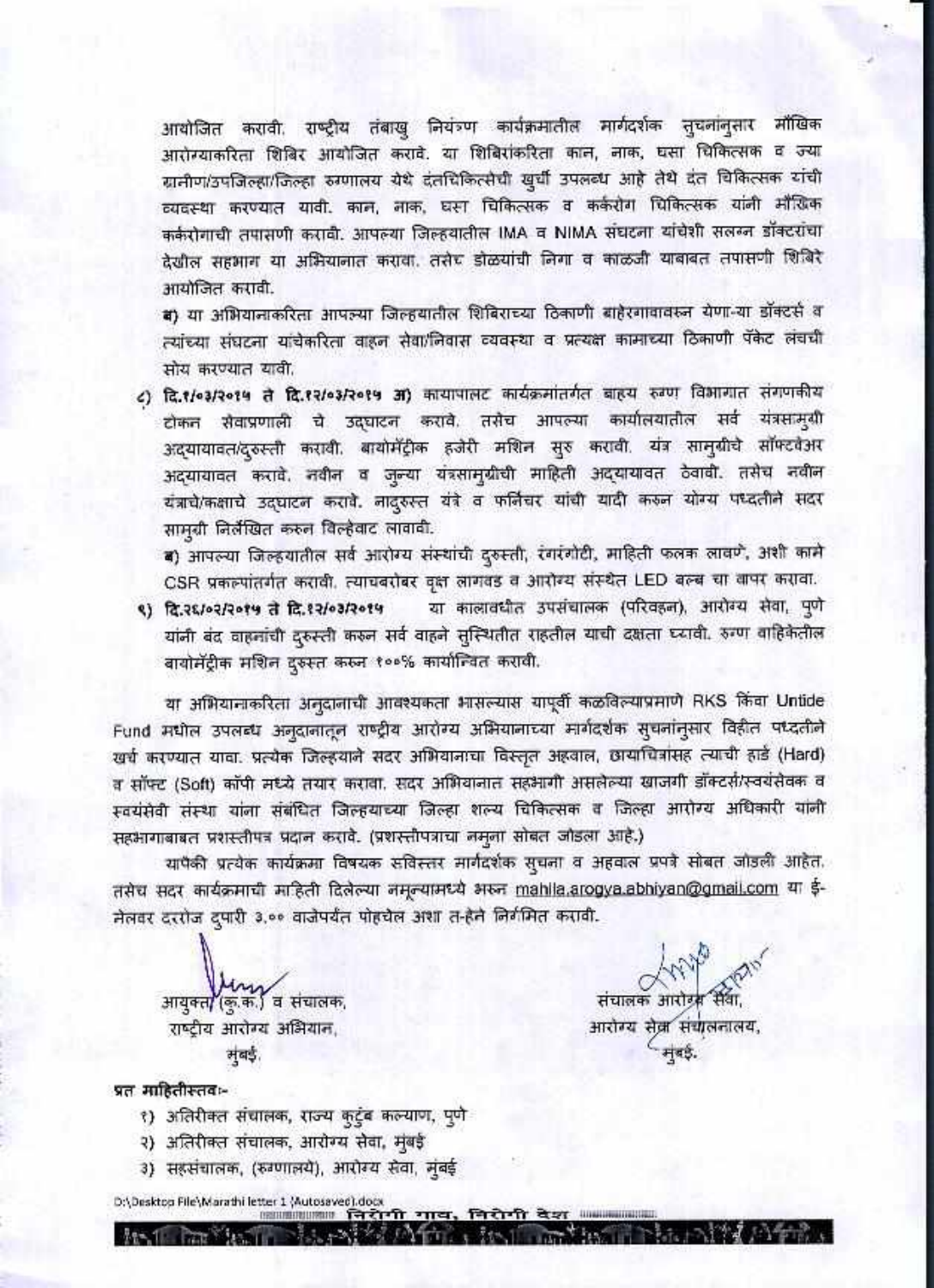आयोजित करावी. राष्ट्रीय तंबाखु नियंत्र्ण कार्यक्रमातील मार्गदर्शक सुचलांनुसार मौखिक आरोग्याकरिता शिबिर आयोजित करावे. या शिबिरांकरिता काल, लाक, घसा चिकित्सक व ज्या ग्रामीण/उपजिल्हा/जिल्हा रुग्णालय येथे दंतचिकित्सेची खुर्ची उपलब्ध आहे तेथे दंत चिकित्सक यांची व्यवस्था करण्यात यावी. काल, लाक, घसा चिकित्सक व कर्करोग चिकित्सक यांनी मौखिक कर्करोगाची तपासणी करावी. आपल्या जिल्हयातील IMA व NIMA संघटना यांचेशी सलम्न डॉक्टरांचा देखील सहभाग या अभियानात करावा. तसेच डोळयांची निगा व काळजी याबाबत तपासणी शिबिरे आयोजित करावी.

ब) या अभियानाकरिता आपल्या जिल्हयातील शिबिराच्या ठिकाणी बाहेरगावावस्न येणा-या डॉक्टर्स व त्यांच्या संघटना यांचेकरिता वाहन सेवा/निवास व्यवस्था व प्रत्यक्ष कामाच्या ठिकाणी पॅकेट लंचची सोय करण्यात यावी.

८) दि.१/०३/२०१५ ते दि.१२/०३/२०१५ अ) कायापालट कार्यक्रमांतर्गत बाह्य रुक्ण विभागात संगणकीय टोकन सेवाप्रणाली चे उद्घाटन करावे. तसेच आपल्या कार्यालयातील सर्व यंत्रसामुग्री अद्यायावत/दुरुस्ती करावी. बायोमॅंट्रीक हजेरी मशिन सुरु करावी. यंत्र सामुग्रीचे सॉफ्टवेअर अद्यायावत करावे. नवीन व जुन्या यंत्रसामुग्रीची माहिती अद्यायावत ठेवावी. तसेच नवीन यंत्राचे/कक्षाचे उद्घाटन करावे. नादुरुस्त यंत्रे व फर्निचर यांची यादी करुन योग्य पध्दतीने सदर सामुग्री निर्लेखित करून विल्हेवाट लावावी.

ब) आपल्या जिल्हयातील सर्व आरोग्य संस्थांची दुरुस्ती, रंगरंगोटी, माहिती फलक लावणे, अशी कामे CSR प्रकल्पांतर्गत करावी. त्याचवरोबर वृक्ष लागवड व आरोग्य संस्थेत LED बल्ब चा वापर करावा.

या कालावधीत उपसंचालक (परिवहन), आरोग्य सेवा, पुणे ९) दि.२६/०२/२०१५ ते दि.१२/०३/२०१५ यांनी बंद वाहनांची दुरुस्ती करुन सर्व वाहने सुस्थितीत राहतील याची दक्षता घ्यावी. रुग्ण वाहिकेतील बायोमॅट्रीक मशिन दुरुस्त करुन १००% कार्यान्वित करावी.

या अभियानाकरिता अनुदानाची आवश्यकता भासल्यास यापूर्वी कळविल्याप्रमाणे RKS किंवा Untide Fund मधील उपलब्ध अनुदानातून राष्ट्रीय आरोग्य अभियानाच्या मार्गदर्शक सुचनांनुसार विहीत पध्दतीने खर्च करण्यात यावा. प्रत्येक जिल्हयाने सदर अभियानाचा विस्तृत अहवाल, छायाचित्रांसह त्याची हार्ड (Hard) व सॉफ्ट (Soft) कॉपी मध्ये तयार करावा. सदर अभियानात सहभागी असलेल्या खाजगी डॉक्टर्स/स्वयंसेवक व स्वयंसेवी संस्था यांना संबंधित जिल्हयाच्या जिल्हा शल्य चिकित्सक व जिल्हा आरोग्य अधिकारी यांनी सहभागाबाबत प्रशस्तीपत्र प्रदान करावे. (प्रशस्तीपत्राचा नमूना सोबत जोडला आहे.)

यापैकी प्रत्येक कार्यक्रमा विषयक सविस्तर मार्गदर्शक सुचना व अहवाल प्रपत्रे सोबत जोडली आहेत. तसेच सदर कार्यक्रमाची माहिती दिलेल्या नमूल्यामध्ये अरुन mahila.arogya.abhiyan@gmail.com या ई-मेलवर दररोज दपारी ३,०० वाजेपर्यंत पोहचेल अशा त-हेने निर्गमित करावी.

 $10171.1125.11111.11111.111$ 

आयुक्त/(कु.क.) व संचालक, राष्ट्रीय आरोग्य अभियान, सूबई.

संचालक आरोड्स सेवा, आरोग्य सेवा संचालनालय,

मुंबई.

## प्रत माहितीस्तव⊧-

- १) अतिरीक्त संचालक, राज्य कुटुंब कल्याण, पुणे
- २) अतिरीक्त संचालक, आरोग्य सेवा, मुंबई
- 3) सहसंचालक, (रुग्णालये), आरोग्य सेवा, मुंबई

D:\Desktop File\Marathiletter 1 \Autosaved).dock<br>- Communication 구간가 기다, 귀간가 작가 좋아.